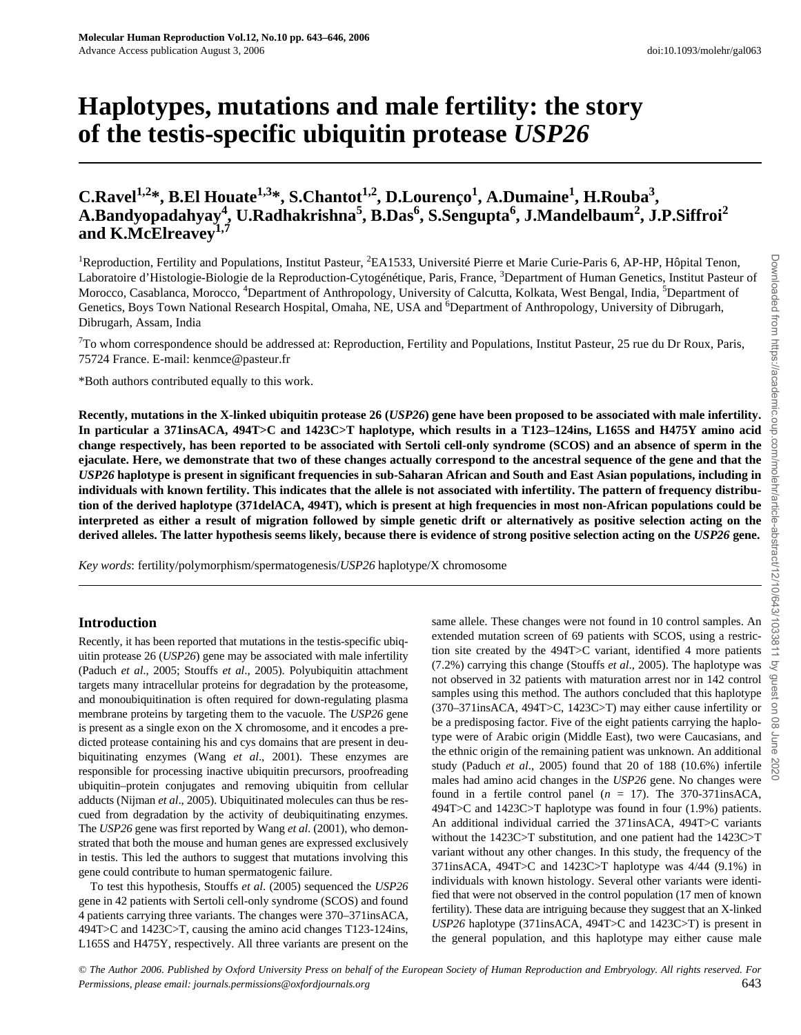# **Haplotypes, mutations and male fertility: the story of the testis-specific ubiquitin protease** *USP26*

# C.Ravel<sup>1,2</sup>\*, B.El Houate<sup>1,3</sup>\*, S.Chantot<sup>1,2</sup>, D.Lourenço<sup>1</sup>, A.Dumaine<sup>1</sup>, H.Rouba<sup>3</sup>, **A.Bandyopadahyay4 , U.Radhakrishna<sup>5</sup> , B.Das<sup>6</sup> , S.Sengupta<sup>6</sup> , J.Mandelbaum<sup>2</sup> , J.P.Siffroi<sup>2</sup>** and K.McElreavev<sup>1,7</sup>

<sup>1</sup>Reproduction, Fertility and Populations, Institut Pasteur, <sup>2</sup>EA1533, Université Pierre et Marie Curie-Paris 6, AP-HP, Hôpital Tenon, Laboratoire d'Histologie-Biologie de la Reproduction-Cytogénétique, Paris, France, <sup>3</sup>Department of Human Genetics, Institut Pasteur of Morocco, Casablanca, Morocco, <sup>4</sup>Department of Anthropology, University of Calcutta, Kolkata, West Bengal, India, <sup>5</sup>Department of Genetics, Boys Town National Research Hospital, Omaha, NE, USA and <sup>6</sup>Department of Anthropology, University of Dibrugarh, Dibrugarh, Assam, India

 $7$ To whom correspondence should be addressed at: Reproduction, Fertility and Populations, Institut Pasteur, 25 rue du Dr Roux, Paris, 75724 France. E-mail: [kenmce@pasteur.fr](mailto:kenmce@pasteur.fr)

\*Both authors contributed equally to this work.

**Recently, mutations in the X-linked ubiquitin protease 26 (***USP26***) gene have been proposed to be associated with male infertility. In particular a 371insACA, 494T>C and 1423C>T haplotype, which results in a T123–124ins, L165S and H475Y amino acid change respectively, has been reported to be associated with Sertoli cell-only syndrome (SCOS) and an absence of sperm in the ejaculate. Here, we demonstrate that two of these changes actually correspond to the ancestral sequence of the gene and that the** *USP26* **haplotype is present in significant frequencies in sub-Saharan African and South and East Asian populations, including in individuals with known fertility. This indicates that the allele is not associated with infertility. The pattern of frequency distribution of the derived haplotype (371delACA, 494T), which is present at high frequencies in most non-African populations could be interpreted as either a result of migration followed by simple genetic drift or alternatively as positive selection acting on the derived alleles. The latter hypothesis seems likely, because there is evidence of strong positive selection acting on the** *USP26* **gene.**

*Key words*: fertility/polymorphism/spermatogenesis/*USP26* haplotype/X chromosome

# **Introduction**

Recently, it has been reported that mutations in the testis-specific ubiquitin protease 26 (*USP26*) gene may be associated with male infertility (Paduch *et al*., 2005; Stouffs *et al*., 2005). Polyubiquitin attachment targets many intracellular proteins for degradation by the proteasome, and monoubiquitination is often required for down-regulating plasma membrane proteins by targeting them to the vacuole. The *USP26* gene is present as a single exon on the X chromosome, and it encodes a predicted protease containing his and cys domains that are present in deubiquitinating enzymes (Wang *et al*., 2001). These enzymes are responsible for processing inactive ubiquitin precursors, proofreading ubiquitin–protein conjugates and removing ubiquitin from cellular adducts (Nijman *et al*., 2005). Ubiquitinated molecules can thus be rescued from degradation by the activity of deubiquitinating enzymes. The *USP26* gene was first reported by Wang *et al*. (2001), who demonstrated that both the mouse and human genes are expressed exclusively in testis. This led the authors to suggest that mutations involving this gene could contribute to human spermatogenic failure.

To test this hypothesis, Stouffs *et al*. (2005) sequenced the *USP26* gene in 42 patients with Sertoli cell-only syndrome (SCOS) and found 4 patients carrying three variants. The changes were 370–371insACA, 494T>C and 1423C>T, causing the amino acid changes T123-124ins, L165S and H475Y, respectively. All three variants are present on the same allele. These changes were not found in 10 control samples. An extended mutation screen of 69 patients with SCOS, using a restriction site created by the 494T>C variant, identified 4 more patients (7.2%) carrying this change (Stouffs *et al*., 2005). The haplotype was not observed in 32 patients with maturation arrest nor in 142 control samples using this method. The authors concluded that this haplotype (370–371insACA, 494T>C, 1423C>T) may either cause infertility or be a predisposing factor. Five of the eight patients carrying the haplotype were of Arabic origin (Middle East), two were Caucasians, and the ethnic origin of the remaining patient was unknown. An additional study (Paduch *et al*., 2005) found that 20 of 188 (10.6%) infertile males had amino acid changes in the *USP26* gene. No changes were found in a fertile control panel (*n* = 17). The 370-371insACA, 494T>C and 1423C>T haplotype was found in four (1.9%) patients. An additional individual carried the 371insACA, 494T>C variants without the 1423C>T substitution, and one patient had the 1423C>T variant without any other changes. In this study, the frequency of the 371insACA, 494T>C and 1423C>T haplotype was 4/44 (9.1%) in individuals with known histology. Several other variants were identified that were not observed in the control population (17 men of known fertility). These data are intriguing because they suggest that an X-linked *USP26* haplotype (371insACA, 494T>C and 1423C>T) is present in the general population, and this haplotype may either cause male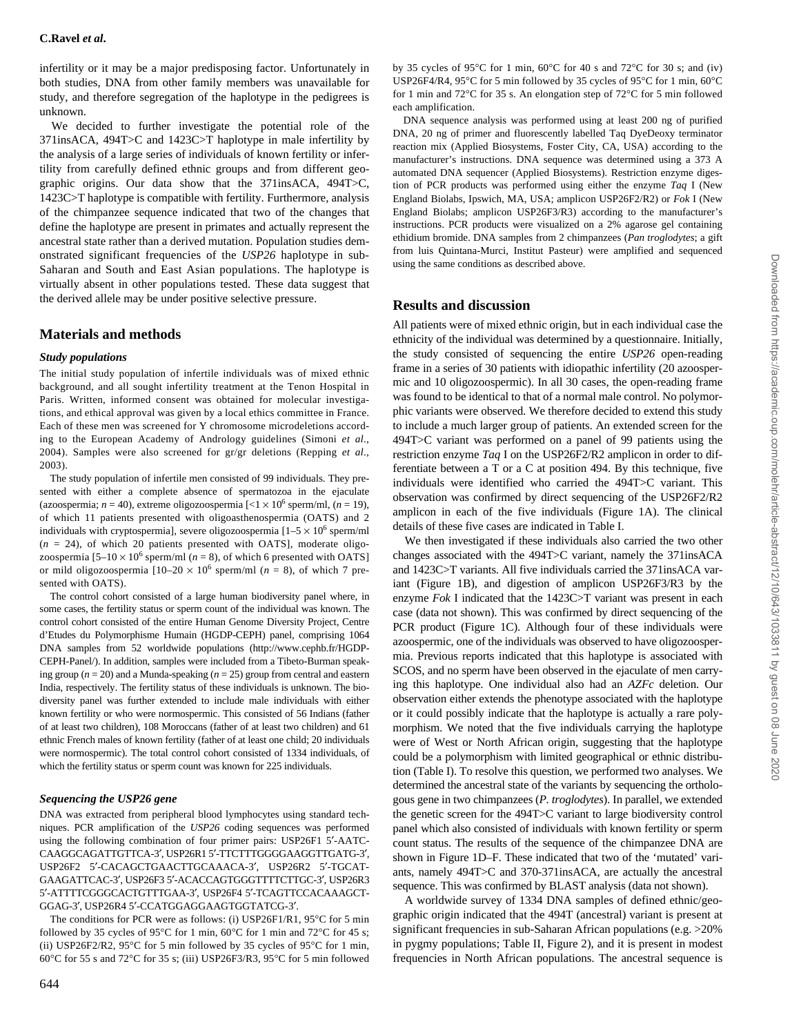infertility or it may be a major predisposing factor. Unfortunately in both studies, DNA from other family members was unavailable for study, and therefore segregation of the haplotype in the pedigrees is unknown.

We decided to further investigate the potential role of the 371insACA, 494T>C and 1423C>T haplotype in male infertility by the analysis of a large series of individuals of known fertility or infertility from carefully defined ethnic groups and from different geographic origins. Our data show that the 371insACA, 494T>C, 1423C>T haplotype is compatible with fertility. Furthermore, analysis of the chimpanzee sequence indicated that two of the changes that define the haplotype are present in primates and actually represent the ancestral state rather than a derived mutation. Population studies demonstrated significant frequencies of the *USP26* haplotype in sub-Saharan and South and East Asian populations. The haplotype is virtually absent in other populations tested. These data suggest that the derived allele may be under positive selective pressure.

# **Materials and methods**

#### *Study populations*

The initial study population of infertile individuals was of mixed ethnic background, and all sought infertility treatment at the Tenon Hospital in Paris. Written, informed consent was obtained for molecular investigations, and ethical approval was given by a local ethics committee in France. Each of these men was screened for Y chromosome microdeletions according to the European Academy of Andrology guidelines (Simoni *et al*., 2004). Samples were also screened for gr/gr deletions (Repping *et al*., 2003).

The study population of infertile men consisted of 99 individuals. They presented with either a complete absence of spermatozoa in the ejaculate (azoospermia;  $n = 40$ ), extreme oligozoospermia  $\lfloor \langle 1 \times 10^6 \text{ sperm/ml}, (n = 19) \rangle$ , of which 11 patients presented with oligoasthenospermia (OATS) and 2 individuals with cryptospermia], severe oligozoospermia  $[1-5 \times 10^6$  sperm/ml  $(n = 24)$ , of which 20 patients presented with OATS], moderate oligozoospermia  $[5-10 \times 10^6$  sperm/ml ( $n = 8$ ), of which 6 presented with OATS] or mild oligozoospermia  $[10-20 \times 10^6$  sperm/ml (*n* = 8), of which 7 presented with OATS).

The control cohort consisted of a large human biodiversity panel where, in some cases, the fertility status or sperm count of the individual was known. The control cohort consisted of the entire Human Genome Diversity Project, Centre d'Etudes du Polymorphisme Humain (HGDP-CEPH) panel, comprising 1064 [DNA samples from 52 worldwide populations \(http://www.cephb.fr/HGDP-](http://www.cephb.fr/HGDP-CEPH-Panel)CEPH-[Panel/\).](http://www.cephb.fr/HGDP-CEPH-Panel) In addition, samples were included from a Tibeto-Burman speaking group ( $n = 20$ ) and a Munda-speaking ( $n = 25$ ) group from central and eastern India, respectively. The fertility status of these individuals is unknown. The biodiversity panel was further extended to include male individuals with either known fertility or who were normospermic. This consisted of 56 Indians (father of at least two children), 108 Moroccans (father of at least two children) and 61 ethnic French males of known fertility (father of at least one child; 20 individuals were normospermic). The total control cohort consisted of 1334 individuals, of which the fertility status or sperm count was known for 225 individuals.

#### *Sequencing the USP26 gene*

DNA was extracted from peripheral blood lymphocytes using standard techniques. PCR amplification of the *USP26* coding sequences was performed using the following combination of four primer pairs: USP26F1 5′-AATC-CAAGGCAGATTGTTCA-3′, USP26R1 5′-TTCTTTGGGGAAGGTTGATG-3′, USP26F2 5′-CACAGCTGAACTTGCAAACA-3′, USP26R2 5′-TGCAT-GAAGATTCAC-3′, USP26F3 5′-ACACCAGTGGGTTTTCTTGC-3′, USP26R3 5′-ATTTTCGGGCACTGTTTGAA-3′, USP26F4 5′-TCAGTTCCACAAAGCT-GGAG-3′, USP26R4 5′-CCATGGAGGAAGTGGTATCG-3′.

The conditions for PCR were as follows: (i) USP26F1/R1, 95°C for 5 min followed by 35 cycles of 95°C for 1 min, 60°C for 1 min and 72°C for 45 s; (ii) USP26F2/R2, 95 $\degree$ C for 5 min followed by 35 cycles of 95 $\degree$ C for 1 min, 60°C for 55 s and 72°C for 35 s; (iii) USP26F3/R3, 95°C for 5 min followed by 35 cycles of 95°C for 1 min, 60°C for 40 s and 72°C for 30 s; and (iv) USP26F4/R4, 95°C for 5 min followed by 35 cycles of 95°C for 1 min, 60°C for 1 min and 72°C for 35 s. An elongation step of 72°C for 5 min followed each amplification.

DNA sequence analysis was performed using at least 200 ng of purified DNA, 20 ng of primer and fluorescently labelled Taq DyeDeoxy terminator reaction mix (Applied Biosystems, Foster City, CA, USA) according to the manufacturer's instructions. DNA sequence was determined using a 373 A automated DNA sequencer (Applied Biosystems). Restriction enzyme digestion of PCR products was performed using either the enzyme *Taq* I (New England Biolabs, Ipswich, MA, USA; amplicon USP26F2/R2) or *Fok* I (New England Biolabs; amplicon USP26F3/R3) according to the manufacturer's instructions. PCR products were visualized on a 2% agarose gel containing ethidium bromide. DNA samples from 2 chimpanzees (*Pan troglodytes*; a gift from luis Quintana-Murci, Institut Pasteur) were amplified and sequenced using the same conditions as described above.

#### **Results and discussion**

All patients were of mixed ethnic origin, but in each individual case the ethnicity of the individual was determined by a questionnaire. Initially, the study consisted of sequencing the entire *USP26* open-reading frame in a series of 30 patients with idiopathic infertility (20 azoospermic and 10 oligozoospermic). In all 30 cases, the open-reading frame was found to be identical to that of a normal male control. No polymorphic variants were observed. We therefore decided to extend this study to include a much larger group of patients. An extended screen for the 494T>C variant was performed on a panel of 99 patients using the restriction enzyme *Taq* I on the USP26F2/R2 amplicon in order to differentiate between a T or a C at position 494. By this technique, five individuals were identified who carried the 494T>C variant. This observation was confirmed by direct sequencing of the USP26F2/R2 amplicon in each of the five individuals (Figure 1A). The clinical details of these five cases are indicated in Table I.

We then investigated if these individuals also carried the two other changes associated with the 494T>C variant, namely the 371insACA and 1423C>T variants. All five individuals carried the 371insACA variant (Figure 1B), and digestion of amplicon USP26F3/R3 by the enzyme *Fok* I indicated that the 1423C>T variant was present in each case (data not shown). This was confirmed by direct sequencing of the PCR product (Figure 1C). Although four of these individuals were azoospermic, one of the individuals was observed to have oligozoospermia. Previous reports indicated that this haplotype is associated with SCOS, and no sperm have been observed in the ejaculate of men carrying this haplotype. One individual also had an *AZFc* deletion. Our observation either extends the phenotype associated with the haplotype or it could possibly indicate that the haplotype is actually a rare polymorphism. We noted that the five individuals carrying the haplotype were of West or North African origin, suggesting that the haplotype could be a polymorphism with limited geographical or ethnic distribution (Table I). To resolve this question, we performed two analyses. We determined the ancestral state of the variants by sequencing the orthologous gene in two chimpanzees (*P. troglodytes*). In parallel, we extended the genetic screen for the 494T>C variant to large biodiversity control panel which also consisted of individuals with known fertility or sperm count status. The results of the sequence of the chimpanzee DNA are shown in Figure 1D–F. These indicated that two of the 'mutated' variants, namely 494T>C and 370-371insACA, are actually the ancestral sequence. This was confirmed by BLAST analysis (data not shown).

A worldwide survey of 1334 DNA samples of defined ethnic/geographic origin indicated that the 494T (ancestral) variant is present at significant frequencies in sub-Saharan African populations (e.g. >20%) in pygmy populations; Table II, Figure 2), and it is present in modest frequencies in North African populations. The ancestral sequence is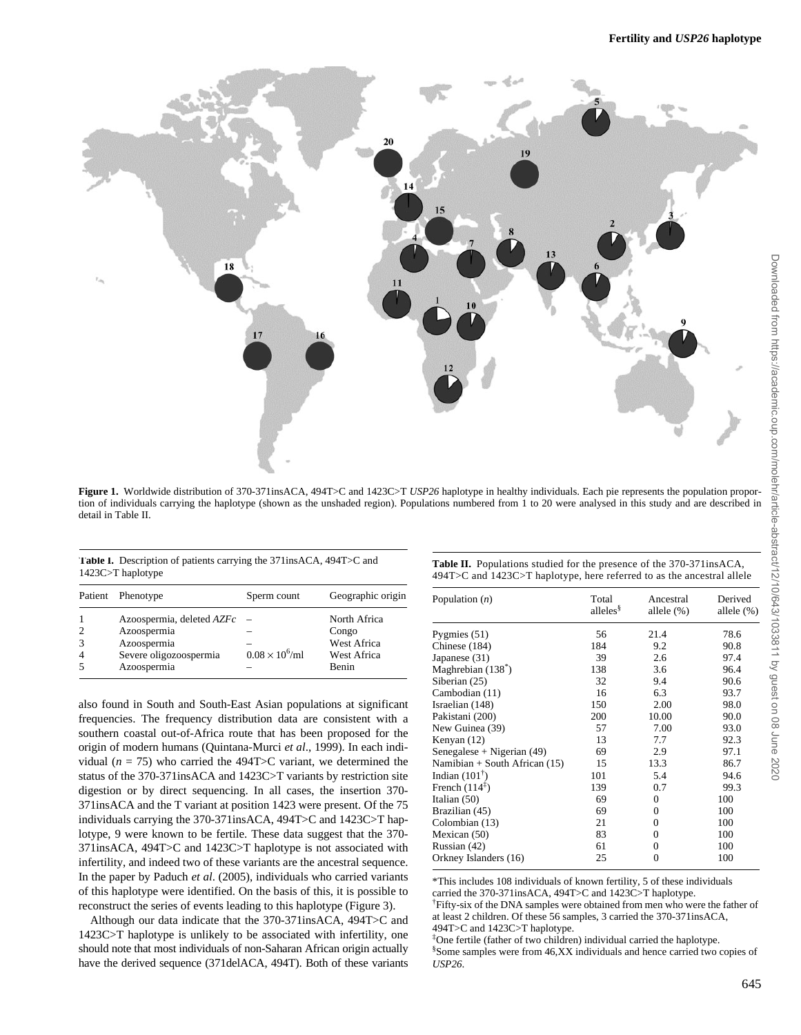

**Figure 1.** Worldwide distribution of 370-371insACA, 494T>C and 1423C>T *USP26* haplotype in healthy individuals. Each pie represents the population proportion of individuals carrying the haplotype (shown as the unshaded region). Populations numbered from 1 to 20 were analysed in this study and are described in detail in Table II.

**Table I.** Description of patients carrying the 371insACA, 494T>C and 1423C>T haplotype

| <b>Table II.</b> Populations studied for the presence of the 370-371 ins ACA, |
|-------------------------------------------------------------------------------|
| 494T>C and 1423C>T haplotype, here referred to as the ancestral allele        |

| Patient Phenotype                                                                                | Sperm count            | Geographic origin                                            |
|--------------------------------------------------------------------------------------------------|------------------------|--------------------------------------------------------------|
| Azoospermia, deleted AZFc<br>Azoospermia<br>Azoospermia<br>Severe oligozoospermia<br>Azoospermia | $0.08 \times 10^6$ /ml | North Africa<br>Congo<br>West Africa<br>West Africa<br>Benin |

also found in South and South-East Asian populations at significant frequencies. The frequency distribution data are consistent with a southern coastal out-of-Africa route that has been proposed for the origin of modern humans (Quintana-Murci *et al*., 1999). In each individual ( $n = 75$ ) who carried the 494T>C variant, we determined the status of the 370-371insACA and 1423C>T variants by restriction site digestion or by direct sequencing. In all cases, the insertion 370- 371insACA and the T variant at position 1423 were present. Of the 75 individuals carrying the 370-371insACA, 494T>C and 1423C>T haplotype, 9 were known to be fertile. These data suggest that the 370- 371insACA, 494T>C and 1423C>T haplotype is not associated with infertility, and indeed two of these variants are the ancestral sequence. In the paper by Paduch *et al*. (2005), individuals who carried variants of this haplotype were identified. On the basis of this, it is possible to reconstruct the series of events leading to this haplotype (Figure 3).

Although our data indicate that the 370-371insACA, 494T>C and 1423C>T haplotype is unlikely to be associated with infertility, one should note that most individuals of non-Saharan African origin actually have the derived sequence (371delACA, 494T). Both of these variants

| Population $(n)$                | Total<br>alleles <sup>§</sup> | Ancestral<br>allele $(\%)$ | Derived<br>allele $(\%)$ |
|---------------------------------|-------------------------------|----------------------------|--------------------------|
| Pygmies $(51)$                  | 56                            | 21.4                       | 78.6                     |
| Chinese (184)                   | 184                           | 9.2                        | 90.8                     |
| Japanese (31)                   | 39                            | 2.6                        | 97.4                     |
| Maghrebian $(138*)$             | 138                           | 3.6                        | 96.4                     |
| Siberian (25)                   | 32                            | 9.4                        | 90.6                     |
| Cambodian (11)                  | 16                            | 6.3                        | 93.7                     |
| Israelian (148)                 | 150                           | 2.00                       | 98.0                     |
| Pakistani (200)                 | 200                           | 10.00                      | 90.0                     |
| New Guinea (39)                 | 57                            | 7.00                       | 93.0                     |
| Kenyan (12)                     | 13                            | 7.7                        | 92.3                     |
| Senegalese + Nigerian $(49)$    | 69                            | 2.9                        | 97.1                     |
| Namibian + South African $(15)$ | 15                            | 13.3                       | 86.7                     |
| Indian $(101^{\dagger})$        | 101                           | 5.4                        | 94.6                     |
| French $(114^{\ddagger})$       | 139                           | 0.7                        | 99.3                     |
| Italian $(50)$                  | 69                            | $\Omega$                   | 100                      |
| Brazilian (45)                  | 69                            | $\mathbf{0}$               | 100                      |
| Colombian (13)                  | 21                            | $\mathbf{0}$               | 100                      |
| Mexican (50)                    | 83                            | $\Omega$                   | 100                      |
| Russian (42)                    | 61                            | $\mathbf{0}$               | 100                      |
| Orkney Islanders (16)           | 25                            | $\Omega$                   | 100                      |

\*This includes 108 individuals of known fertility, 5 of these individuals carried the 370-371insACA, 494T>C and 1423C>T haplotype.

† Fifty-six of the DNA samples were obtained from men who were the father of at least 2 children. Of these 56 samples, 3 carried the 370-371insACA, 494T>C and 1423C>T haplotype.

‡ One fertile (father of two children) individual carried the haplotype. § Some samples were from 46,XX individuals and hence carried two copies of *USP26*.